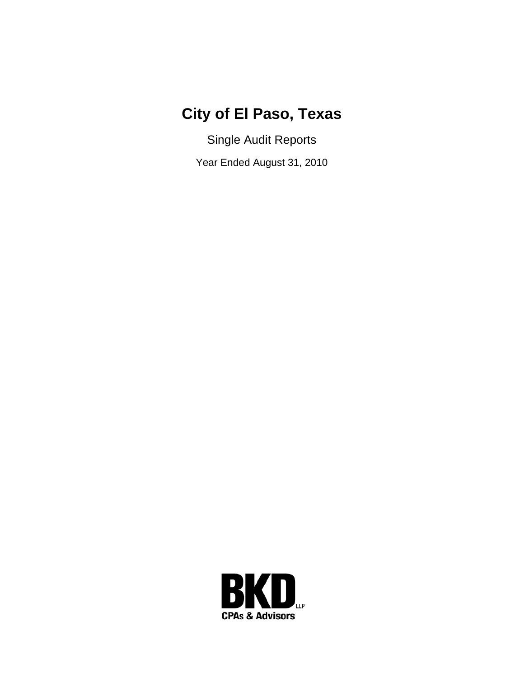## **City of El Paso, Texas**

Single Audit Reports

Year Ended August 31, 2010

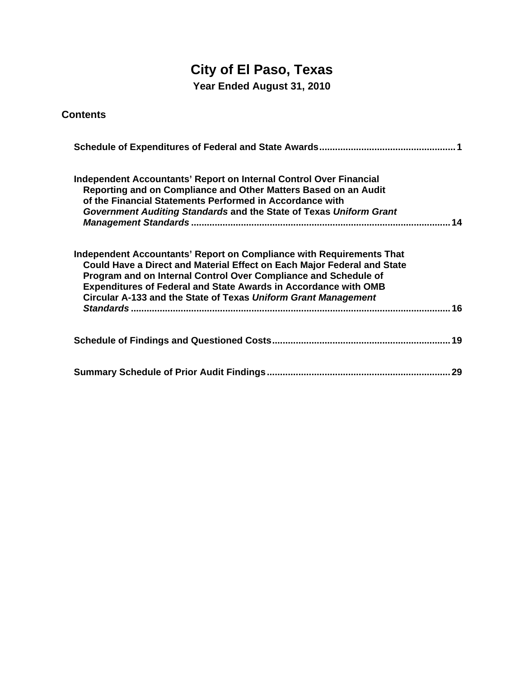# **City of El Paso, Texas**

**Year Ended August 31, 2010** 

#### **Contents**

| <b>Independent Accountants' Report on Internal Control Over Financial</b><br>Reporting and on Compliance and Other Matters Based on an Audit<br>of the Financial Statements Performed in Accordance with<br>Government Auditing Standards and the State of Texas Uniform Grant                                                                                 |
|----------------------------------------------------------------------------------------------------------------------------------------------------------------------------------------------------------------------------------------------------------------------------------------------------------------------------------------------------------------|
| Independent Accountants' Report on Compliance with Requirements That<br>Could Have a Direct and Material Effect on Each Major Federal and State<br>Program and on Internal Control Over Compliance and Schedule of<br><b>Expenditures of Federal and State Awards in Accordance with OMB</b><br>Circular A-133 and the State of Texas Uniform Grant Management |
|                                                                                                                                                                                                                                                                                                                                                                |
|                                                                                                                                                                                                                                                                                                                                                                |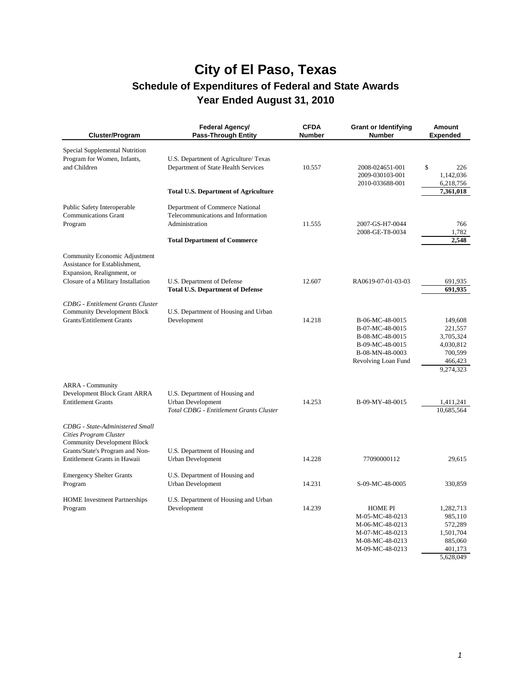| Cluster/Program                                                                                                                    | Federal Agency/<br><b>Pass-Through Entity</b>                                                                                  | <b>CFDA</b><br><b>Number</b> | <b>Grant or Identifying</b><br><b>Number</b>                                                                       | Amount<br><b>Expended</b>                                                       |
|------------------------------------------------------------------------------------------------------------------------------------|--------------------------------------------------------------------------------------------------------------------------------|------------------------------|--------------------------------------------------------------------------------------------------------------------|---------------------------------------------------------------------------------|
| Special Supplemental Nutrition<br>Program for Women, Infants,<br>and Children                                                      | U.S. Department of Agriculture/ Texas<br>Department of State Health Services<br><b>Total U.S. Department of Agriculture</b>    | 10.557                       | 2008-024651-001<br>2009-030103-001<br>2010-033688-001                                                              | \$<br>226<br>1,142,036<br>6,218,756<br>7,361,018                                |
| Public Safety Interoperable<br><b>Communications Grant</b><br>Program                                                              | Department of Commerce National<br>Telecommunications and Information<br>Administration<br><b>Total Department of Commerce</b> | 11.555                       | 2007-GS-H7-0044<br>2008-GE-T8-0034                                                                                 | 766<br>1,782<br>2,548                                                           |
| Community Economic Adjustment<br>Assistance for Establishment,<br>Expansion, Realignment, or<br>Closure of a Military Installation | U.S. Department of Defense<br><b>Total U.S. Department of Defense</b>                                                          | 12.607                       | RA0619-07-01-03-03                                                                                                 | 691,935<br>691.935                                                              |
| <b>CDBG</b> - Entitlement Grants Cluster<br><b>Community Development Block</b><br><b>Grants/Entitlement Grants</b>                 | U.S. Department of Housing and Urban<br>Development                                                                            | 14.218                       | B-06-MC-48-0015<br>B-07-MC-48-0015<br>B-08-MC-48-0015<br>B-09-MC-48-0015<br>B-08-MN-48-0003<br>Revolving Loan Fund | 149,608<br>221,557<br>3,705,324<br>4,030,812<br>700,599<br>466,423<br>9,274,323 |
| <b>ARRA</b> - Community<br>Development Block Grant ARRA<br><b>Entitlement Grants</b><br>CDBG - State-Administered Small            | U.S. Department of Housing and<br><b>Urban Development</b><br>Total CDBG - Entitlement Grants Cluster                          | 14.253                       | B-09-MY-48-0015                                                                                                    | 1,411,241<br>10,685,564                                                         |
| Cities Program Cluster<br><b>Community Development Block</b><br>Grants/State's Program and Non-<br>Entitlement Grants in Hawaii    | U.S. Department of Housing and<br><b>Urban Development</b>                                                                     | 14.228                       | 77090000112                                                                                                        | 29,615                                                                          |
| <b>Emergency Shelter Grants</b><br>Program                                                                                         | U.S. Department of Housing and<br><b>Urban Development</b>                                                                     | 14.231                       | S-09-MC-48-0005                                                                                                    | 330,859                                                                         |
| <b>HOME</b> Investment Partnerships<br>Program                                                                                     | U.S. Department of Housing and Urban<br>Development                                                                            | 14.239                       | <b>HOME PI</b><br>M-05-MC-48-0213<br>M-06-MC-48-0213<br>M-07-MC-48-0213<br>M-08-MC-48-0213<br>M-09-MC-48-0213      | 1,282,713<br>985,110<br>572,289<br>1,501,704<br>885,060<br>401,173<br>5,628,049 |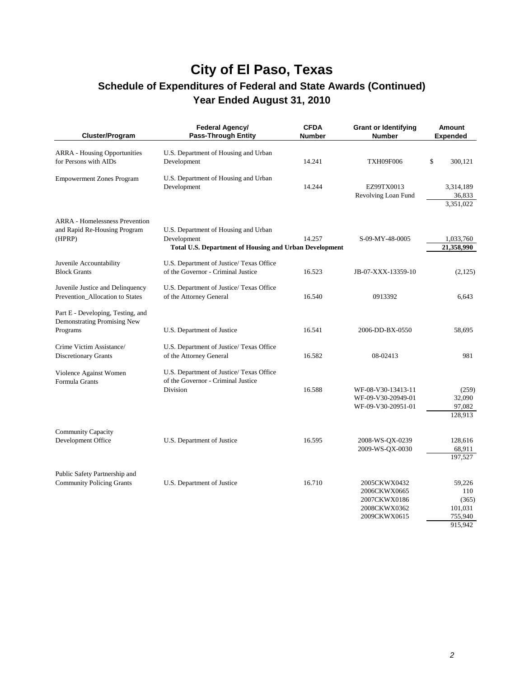| Cluster/Program                                                                 | Federal Agency/<br><b>Pass-Through Entity</b>                                                                        | <b>CFDA</b><br><b>Number</b> | <b>Grant or Identifying</b><br><b>Number</b>                                 | <b>Amount</b><br><b>Expended</b>                        |
|---------------------------------------------------------------------------------|----------------------------------------------------------------------------------------------------------------------|------------------------------|------------------------------------------------------------------------------|---------------------------------------------------------|
| <b>ARRA</b> - Housing Opportunities<br>for Persons with AIDs                    | U.S. Department of Housing and Urban<br>Development                                                                  | 14.241                       | <b>TXH09F006</b>                                                             | \$<br>300,121                                           |
| <b>Empowerment Zones Program</b>                                                | U.S. Department of Housing and Urban<br>Development                                                                  | 14.244                       | EZ99TX0013<br>Revolving Loan Fund                                            | 3,314,189<br>36,833<br>3,351,022                        |
| <b>ARRA</b> - Homelessness Prevention<br>and Rapid Re-Housing Program<br>(HPRP) | U.S. Department of Housing and Urban<br>Development<br><b>Total U.S. Department of Housing and Urban Development</b> | 14.257                       | S-09-MY-48-0005                                                              | 1,033,760<br>21,358,990                                 |
| Juvenile Accountability<br><b>Block Grants</b>                                  | U.S. Department of Justice/ Texas Office<br>of the Governor - Criminal Justice                                       | 16.523                       | JB-07-XXX-13359-10                                                           | (2,125)                                                 |
| Juvenile Justice and Delinquency<br>Prevention_Allocation to States             | U.S. Department of Justice/Texas Office<br>of the Attorney General                                                   | 16.540                       | 0913392                                                                      | 6,643                                                   |
| Part E - Developing, Testing, and<br>Demonstrating Promising New<br>Programs    | U.S. Department of Justice                                                                                           | 16.541                       | 2006-DD-BX-0550                                                              | 58,695                                                  |
| Crime Victim Assistance/<br><b>Discretionary Grants</b>                         | U.S. Department of Justice/ Texas Office<br>of the Attorney General                                                  | 16.582                       | 08-02413                                                                     | 981                                                     |
| Violence Against Women<br>Formula Grants                                        | U.S. Department of Justice/Texas Office<br>of the Governor - Criminal Justice<br>Division                            | 16.588                       | WF-08-V30-13413-11<br>WF-09-V30-20949-01<br>WF-09-V30-20951-01               | (259)<br>32,090<br>97,082<br>128,913                    |
| <b>Community Capacity</b><br>Development Office                                 | U.S. Department of Justice                                                                                           | 16.595                       | 2008-WS-QX-0239<br>2009-WS-QX-0030                                           | 128,616<br>68,911<br>197,527                            |
| Public Safety Partnership and<br><b>Community Policing Grants</b>               | U.S. Department of Justice                                                                                           | 16.710                       | 2005CKWX0432<br>2006CKWX0665<br>2007CKWX0186<br>2008CKWX0362<br>2009CKWX0615 | 59,226<br>110<br>(365)<br>101,031<br>755,940<br>915.942 |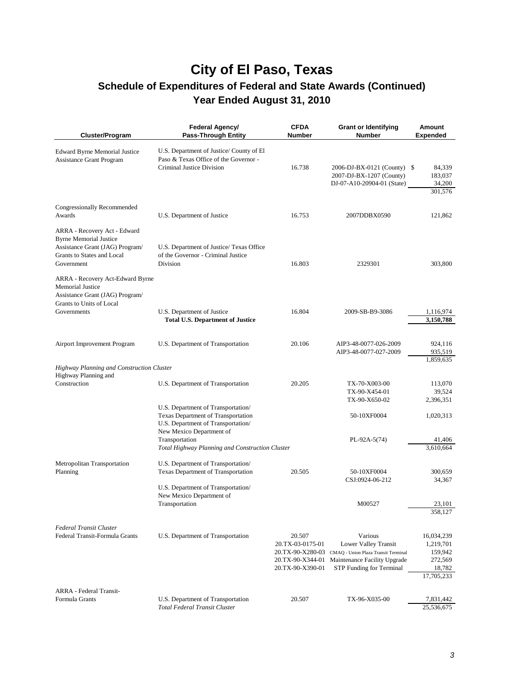| Cluster/Program                                                                                                                              | <b>Federal Agency/</b><br><b>Pass-Through Entity</b>                                                           | <b>CFDA</b><br><b>Number</b>                                       | <b>Grant or Identifying</b><br><b>Number</b>                                                                                                        | <b>Amount</b><br><b>Expended</b>                                      |
|----------------------------------------------------------------------------------------------------------------------------------------------|----------------------------------------------------------------------------------------------------------------|--------------------------------------------------------------------|-----------------------------------------------------------------------------------------------------------------------------------------------------|-----------------------------------------------------------------------|
| <b>Edward Byrne Memorial Justice</b><br><b>Assistance Grant Program</b>                                                                      | U.S. Department of Justice/County of El<br>Paso & Texas Office of the Governor -<br>Criminal Justice Division  | 16.738                                                             | 2006-DJ-BX-0121 (County) \$<br>2007-DJ-BX-1207 (County)<br>DJ-07-A10-20904-01 (State)                                                               | 84,339<br>183,037<br>34,200<br>301,576                                |
| Congressionally Recommended<br>Awards                                                                                                        | U.S. Department of Justice                                                                                     | 16.753                                                             | 2007DDBX0590                                                                                                                                        | 121,862                                                               |
| ARRA - Recovery Act - Edward<br><b>Byrne Memorial Justice</b><br>Assistance Grant (JAG) Program/<br>Grants to States and Local<br>Government | U.S. Department of Justice/ Texas Office<br>of the Governor - Criminal Justice<br>Division                     | 16.803                                                             | 2329301                                                                                                                                             | 303,800                                                               |
| ARRA - Recovery Act-Edward Byrne<br><b>Memorial Justice</b><br>Assistance Grant (JAG) Program/<br>Grants to Units of Local                   |                                                                                                                |                                                                    |                                                                                                                                                     |                                                                       |
| Governments                                                                                                                                  | U.S. Department of Justice<br><b>Total U.S. Department of Justice</b>                                          | 16.804                                                             | 2009-SB-B9-3086                                                                                                                                     | 1,116,974<br>3,150,788                                                |
| Airport Improvement Program                                                                                                                  | U.S. Department of Transportation                                                                              | 20.106                                                             | AIP3-48-0077-026-2009<br>AIP3-48-0077-027-2009                                                                                                      | 924,116<br>935,519<br>1,859,635                                       |
| Highway Planning and Construction Cluster                                                                                                    |                                                                                                                |                                                                    |                                                                                                                                                     |                                                                       |
| Highway Planning and<br>Construction                                                                                                         | U.S. Department of Transportation                                                                              | 20.205                                                             | TX-70-X003-00<br>TX-90-X454-01<br>TX-90-X650-02                                                                                                     | 113,070<br>39,524<br>2,396,351                                        |
|                                                                                                                                              | U.S. Department of Transportation/<br>Texas Department of Transportation<br>U.S. Department of Transportation/ |                                                                    | 50-10XF0004                                                                                                                                         | 1,020,313                                                             |
|                                                                                                                                              | New Mexico Department of<br>Transportation<br>Total Highway Planning and Construction Cluster                  |                                                                    | $PL-92A-5(74)$                                                                                                                                      | 41,406<br>3,610,664                                                   |
| Metropolitan Transportation                                                                                                                  | U.S. Department of Transportation/                                                                             |                                                                    |                                                                                                                                                     |                                                                       |
| Planning                                                                                                                                     | Texas Department of Transportation<br>U.S. Department of Transportation/                                       | 20.505                                                             | 50-10XF0004<br>CSJ:0924-06-212                                                                                                                      | 300,659<br>34,367                                                     |
|                                                                                                                                              | New Mexico Department of<br>Transportation                                                                     |                                                                    | M00527                                                                                                                                              | 23,101<br>358,127                                                     |
|                                                                                                                                              |                                                                                                                |                                                                    |                                                                                                                                                     |                                                                       |
| Federal Transit Cluster<br>Federal Transit-Formula Grants                                                                                    | U.S. Department of Transportation                                                                              | 20.507<br>20.TX-03-0175-01<br>20.TX-90-X344-01<br>20.TX-90-X390-01 | Various<br>Lower Valley Transit<br>20.TX-90-X280-03 CMAQ - Union Plaza Transit Terminal<br>Maintenance Facility Upgrade<br>STP Funding for Terminal | 16,034,239<br>1,219,701<br>159,942<br>272,569<br>18,782<br>17,705,233 |
| <b>ARRA</b> - Federal Transit-                                                                                                               |                                                                                                                |                                                                    |                                                                                                                                                     |                                                                       |
| Formula Grants                                                                                                                               | U.S. Department of Transportation<br>Total Federal Transit Cluster                                             | 20.507                                                             | TX-96-X035-00                                                                                                                                       | 7,831,442<br>25,536,675                                               |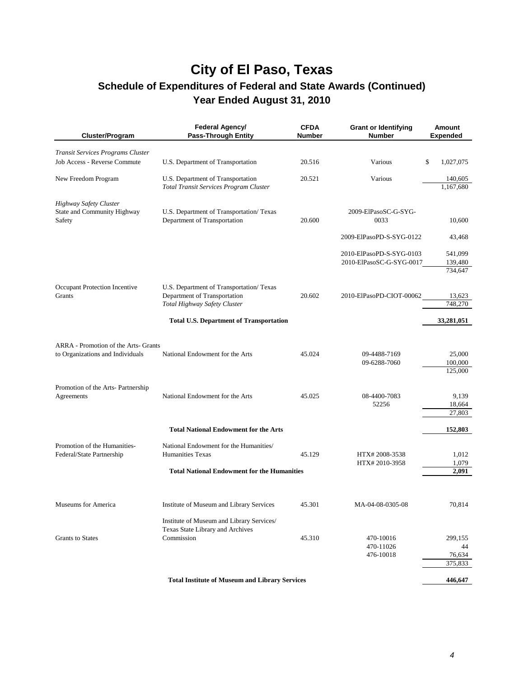| Cluster/Program                                  | Federal Agency/<br>Pass-Through Entity                | <b>CFDA</b><br><b>Number</b> | <b>Grant or Identifying</b><br><b>Number</b> | Amount<br><b>Expended</b> |
|--------------------------------------------------|-------------------------------------------------------|------------------------------|----------------------------------------------|---------------------------|
| Transit Services Programs Cluster                |                                                       |                              |                                              |                           |
| Job Access - Reverse Commute                     | U.S. Department of Transportation                     | 20.516                       | Various                                      | 1,027,075<br>\$           |
| New Freedom Program                              | U.S. Department of Transportation                     | 20.521                       | Various                                      | 140,605                   |
|                                                  | Total Transit Services Program Cluster                |                              |                                              | 1,167,680                 |
| Highway Safety Cluster                           |                                                       |                              |                                              |                           |
| State and Community Highway                      | U.S. Department of Transportation/ Texas              |                              | 2009-ElPasoSC-G-SYG-                         |                           |
| Safety                                           | Department of Transportation                          | 20.600                       | 0033                                         | 10,600                    |
|                                                  |                                                       |                              | 2009-ElPasoPD-S-SYG-0122                     | 43,468                    |
|                                                  |                                                       |                              | 2010-ElPasoPD-S-SYG-0103                     | 541,099                   |
|                                                  |                                                       |                              | 2010-ElPasoSC-G-SYG-0017                     | 139,480                   |
|                                                  |                                                       |                              |                                              | 734,647                   |
| Occupant Protection Incentive                    | U.S. Department of Transportation/ Texas              |                              |                                              |                           |
| Grants                                           | Department of Transportation                          | 20.602                       | 2010-ElPasoPD-CIOT-00062                     | 13,623                    |
|                                                  | Total Highway Safety Cluster                          |                              |                                              | 748,270                   |
|                                                  | <b>Total U.S. Department of Transportation</b>        |                              |                                              | 33,281,051                |
|                                                  |                                                       |                              |                                              |                           |
| ARRA - Promotion of the Arts- Grants             |                                                       |                              |                                              |                           |
| to Organizations and Individuals                 | National Endowment for the Arts                       | 45.024                       | 09-4488-7169                                 | 25,000                    |
|                                                  |                                                       |                              | 09-6288-7060                                 | 100,000<br>125,000        |
|                                                  |                                                       |                              |                                              |                           |
| Promotion of the Arts- Partnership<br>Agreements | National Endowment for the Arts                       | 45.025                       | 08-4400-7083                                 | 9,139                     |
|                                                  |                                                       |                              | 52256                                        | 18,664                    |
|                                                  |                                                       |                              |                                              | 27,803                    |
|                                                  | <b>Total National Endowment for the Arts</b>          |                              |                                              | 152,803                   |
| Promotion of the Humanities-                     | National Endowment for the Humanities/                |                              |                                              |                           |
| Federal/State Partnership                        | <b>Humanities Texas</b>                               | 45.129                       | HTX#2008-3538                                | 1,012                     |
|                                                  |                                                       |                              | HTX#2010-3958                                | 1,079                     |
|                                                  | <b>Total National Endowment for the Humanities</b>    |                              |                                              | 2,091                     |
|                                                  |                                                       |                              |                                              |                           |
| Museums for America                              | Institute of Museum and Library Services              | 45.301                       | MA-04-08-0305-08                             | 70,814                    |
|                                                  | Institute of Museum and Library Services/             |                              |                                              |                           |
|                                                  | Texas State Library and Archives                      |                              |                                              |                           |
| <b>Grants</b> to States                          | Commission                                            | 45.310                       | 470-10016                                    | 299,155                   |
|                                                  |                                                       |                              | 470-11026<br>476-10018                       | 44<br>76,634              |
|                                                  |                                                       |                              |                                              | 375,833                   |
|                                                  |                                                       |                              |                                              |                           |
|                                                  | <b>Total Institute of Museum and Library Services</b> |                              |                                              | 446,647                   |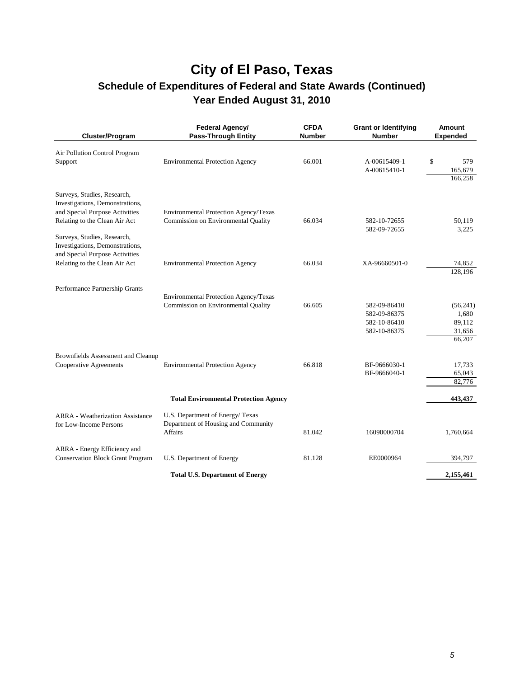| Cluster/Program                                                                                                                                                                                     | Federal Agency/<br><b>Pass-Through Entity</b>                                            | <b>CFDA</b><br><b>Number</b> | <b>Grant or Identifying</b><br><b>Number</b>                 | <b>Amount</b><br><b>Expended</b>                |
|-----------------------------------------------------------------------------------------------------------------------------------------------------------------------------------------------------|------------------------------------------------------------------------------------------|------------------------------|--------------------------------------------------------------|-------------------------------------------------|
| Air Pollution Control Program<br>Support                                                                                                                                                            | <b>Environmental Protection Agency</b>                                                   | 66.001                       | A-00615409-1<br>A-00615410-1                                 | \$<br>579<br>165,679<br>166,258                 |
| Surveys, Studies, Research,<br>Investigations, Demonstrations,<br>and Special Purpose Activities<br>Relating to the Clean Air Act<br>Surveys, Studies, Research,<br>Investigations, Demonstrations, | Environmental Protection Agency/Texas<br>Commission on Environmental Quality             | 66.034                       | 582-10-72655<br>582-09-72655                                 | 50,119<br>3,225                                 |
| and Special Purpose Activities<br>Relating to the Clean Air Act                                                                                                                                     | <b>Environmental Protection Agency</b>                                                   | 66.034                       | XA-96660501-0                                                | 74,852<br>128.196                               |
| Performance Partnership Grants                                                                                                                                                                      | Environmental Protection Agency/Texas<br>Commission on Environmental Quality             | 66.605                       | 582-09-86410<br>582-09-86375<br>582-10-86410<br>582-10-86375 | (56,241)<br>1,680<br>89,112<br>31,656<br>66,207 |
| Brownfields Assessment and Cleanup<br><b>Cooperative Agreements</b>                                                                                                                                 | <b>Environmental Protection Agency</b>                                                   | 66.818                       | BF-9666030-1<br>BF-9666040-1                                 | 17,733<br>65,043<br>82,776                      |
|                                                                                                                                                                                                     | <b>Total Environmental Protection Agency</b>                                             |                              |                                                              | 443,437                                         |
| <b>ARRA</b> - Weatherization Assistance<br>for Low-Income Persons                                                                                                                                   | U.S. Department of Energy/Texas<br>Department of Housing and Community<br><b>Affairs</b> | 81.042                       | 16090000704                                                  | 1,760,664                                       |
| ARRA - Energy Efficiency and<br><b>Conservation Block Grant Program</b>                                                                                                                             | U.S. Department of Energy                                                                | 81.128                       | EE0000964                                                    | 394,797                                         |
|                                                                                                                                                                                                     | <b>Total U.S. Department of Energy</b>                                                   |                              |                                                              | 2,155,461                                       |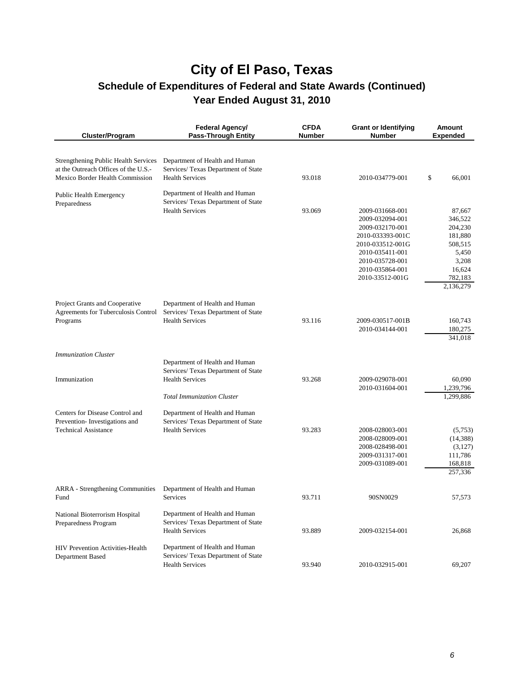| <b>Cluster/Program</b>                                                              | Federal Agency/<br>Pass-Through Entity                                | <b>CFDA</b><br><b>Number</b> | <b>Grant or Identifying</b><br><b>Number</b> | <b>Amount</b><br><b>Expended</b> |
|-------------------------------------------------------------------------------------|-----------------------------------------------------------------------|------------------------------|----------------------------------------------|----------------------------------|
| <b>Strengthening Public Health Services</b><br>at the Outreach Offices of the U.S.- | Department of Health and Human                                        |                              |                                              |                                  |
| Mexico Border Health Commission                                                     | Services/ Texas Department of State<br><b>Health Services</b>         | 93.018                       | 2010-034779-001                              | \$<br>66,001                     |
| Public Health Emergency<br>Preparedness                                             | Department of Health and Human<br>Services/ Texas Department of State |                              |                                              |                                  |
|                                                                                     | <b>Health Services</b>                                                | 93.069                       | 2009-031668-001                              | 87,667                           |
|                                                                                     |                                                                       |                              | 2009-032094-001                              | 346,522                          |
|                                                                                     |                                                                       |                              | 2009-032170-001<br>2010-033393-001C          | 204,230<br>181,880               |
|                                                                                     |                                                                       |                              | 2010-033512-001G                             | 508,515                          |
|                                                                                     |                                                                       |                              | 2010-035411-001                              | 5,450                            |
|                                                                                     |                                                                       |                              | 2010-035728-001                              | 3,208                            |
|                                                                                     |                                                                       |                              | 2010-035864-001                              | 16,624                           |
|                                                                                     |                                                                       |                              | 2010-33512-001G                              | 782,183                          |
|                                                                                     |                                                                       |                              |                                              | 2,136,279                        |
| Project Grants and Cooperative                                                      | Department of Health and Human                                        |                              |                                              |                                  |
| Agreements for Tuberculosis Control                                                 | Services/ Texas Department of State<br><b>Health Services</b>         | 93.116                       | 2009-030517-001B                             |                                  |
| Programs                                                                            |                                                                       |                              | 2010-034144-001                              | 160,743<br>180,275               |
|                                                                                     |                                                                       |                              |                                              | 341,018                          |
| <b>Immunization Cluster</b>                                                         |                                                                       |                              |                                              |                                  |
|                                                                                     | Department of Health and Human<br>Services/ Texas Department of State |                              |                                              |                                  |
| Immunization                                                                        | <b>Health Services</b>                                                | 93.268                       | 2009-029078-001                              | 60,090                           |
|                                                                                     |                                                                       |                              | 2010-031604-001                              | 1,239,796                        |
|                                                                                     | <b>Total Immunization Cluster</b>                                     |                              |                                              | 1,299,886                        |
| Centers for Disease Control and                                                     | Department of Health and Human                                        |                              |                                              |                                  |
| Prevention-Investigations and                                                       | Services/ Texas Department of State                                   |                              |                                              |                                  |
| <b>Technical Assistance</b>                                                         | <b>Health Services</b>                                                | 93.283                       | 2008-028003-001                              | (5,753)                          |
|                                                                                     |                                                                       |                              | 2008-028009-001<br>2008-028498-001           | (14, 388)<br>(3,127)             |
|                                                                                     |                                                                       |                              | 2009-031317-001                              | 111,786                          |
|                                                                                     |                                                                       |                              | 2009-031089-001                              | 168,818                          |
|                                                                                     |                                                                       |                              |                                              | 257,336                          |
| <b>ARRA</b> - Strengthening Communities                                             | Department of Health and Human                                        |                              |                                              |                                  |
| Fund                                                                                | <b>Services</b>                                                       | 93.711                       | 90SN0029                                     | 57,573                           |
| National Bioterrorism Hospital                                                      | Department of Health and Human                                        |                              |                                              |                                  |
| Preparedness Program                                                                | Services/ Texas Department of State                                   |                              |                                              |                                  |
|                                                                                     | <b>Health Services</b>                                                | 93.889                       | 2009-032154-001                              | 26,868                           |
| <b>HIV Prevention Activities-Health</b>                                             | Department of Health and Human                                        |                              |                                              |                                  |
| Department Based                                                                    | Services/ Texas Department of State                                   |                              |                                              |                                  |
|                                                                                     | <b>Health Services</b>                                                | 93.940                       | 2010-032915-001                              | 69,207                           |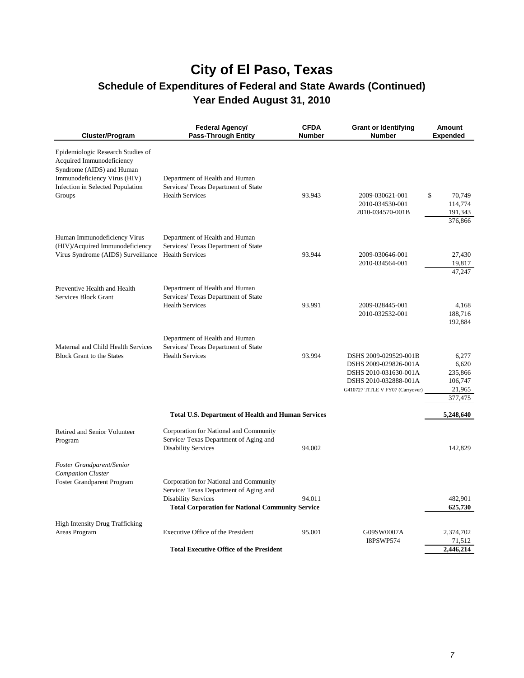| Cluster/Program                                                                                                                                                           | Federal Agency/<br><b>Pass-Through Entity</b>                                                                                                                             | <b>CFDA</b><br>Number | <b>Grant or Identifying</b><br><b>Number</b>                                                                                         | Amount<br><b>Expended</b>                                 |
|---------------------------------------------------------------------------------------------------------------------------------------------------------------------------|---------------------------------------------------------------------------------------------------------------------------------------------------------------------------|-----------------------|--------------------------------------------------------------------------------------------------------------------------------------|-----------------------------------------------------------|
| Epidemiologic Research Studies of<br>Acquired Immunodeficiency<br>Syndrome (AIDS) and Human<br>Immunodeficiency Virus (HIV)<br>Infection in Selected Population<br>Groups | Department of Health and Human<br>Services/ Texas Department of State<br><b>Health Services</b>                                                                           | 93.943                | 2009-030621-001<br>2010-034530-001<br>2010-034570-001B                                                                               | \$<br>70.749<br>114,774<br>191,343<br>376,866             |
| Human Immunodeficiency Virus<br>(HIV)/Acquired Immunodeficiency<br>Virus Syndrome (AIDS) Surveillance                                                                     | Department of Health and Human<br>Services/ Texas Department of State<br><b>Health Services</b>                                                                           | 93.944                | 2009-030646-001<br>2010-034564-001                                                                                                   | 27,430<br>19,817<br>47.247                                |
| Preventive Health and Health<br>Services Block Grant                                                                                                                      | Department of Health and Human<br>Services/ Texas Department of State<br><b>Health Services</b>                                                                           | 93.991                | 2009-028445-001<br>2010-032532-001                                                                                                   | 4,168<br>188,716<br>192,884                               |
| Maternal and Child Health Services<br><b>Block Grant to the States</b>                                                                                                    | Department of Health and Human<br>Services/ Texas Department of State<br><b>Health Services</b>                                                                           | 93.994                | DSHS 2009-029529-001B<br>DSHS 2009-029826-001A<br>DSHS 2010-031630-001A<br>DSHS 2010-032888-001A<br>G410727 TITLE V FY07 (Carryover) | 6,277<br>6,620<br>235,866<br>106,747<br>21,965<br>377,475 |
|                                                                                                                                                                           | <b>Total U.S. Department of Health and Human Services</b>                                                                                                                 |                       |                                                                                                                                      | 5,248,640                                                 |
| Retired and Senior Volunteer<br>Program                                                                                                                                   | Corporation for National and Community<br>Service/ Texas Department of Aging and<br><b>Disability Services</b>                                                            | 94.002                |                                                                                                                                      | 142,829                                                   |
| Foster Grandparent/Senior<br>Companion Cluster<br>Foster Grandparent Program                                                                                              | Corporation for National and Community<br>Service/ Texas Department of Aging and<br><b>Disability Services</b><br><b>Total Corporation for National Community Service</b> | 94.011                |                                                                                                                                      | 482,901<br>625,730                                        |
| <b>High Intensity Drug Trafficking</b><br>Areas Program                                                                                                                   | Executive Office of the President                                                                                                                                         | 95.001                | G09SW0007A<br><b>I8PSWP574</b>                                                                                                       | 2,374,702<br>71,512                                       |
|                                                                                                                                                                           | <b>Total Executive Office of the President</b>                                                                                                                            |                       |                                                                                                                                      | 2,446,214                                                 |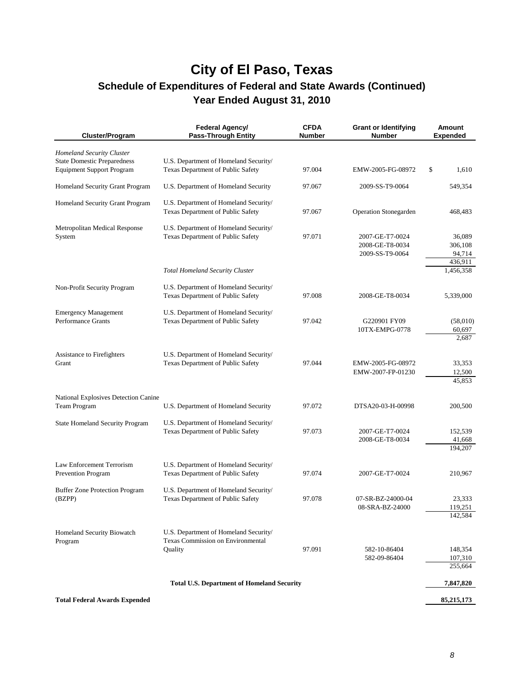| Cluster/Program                                                 | Federal Agency/<br><b>Pass-Through Entity</b>                                         | <b>CFDA</b><br><b>Number</b> | <b>Grant or Identifying</b><br><b>Number</b>          | <b>Amount</b><br><b>Expended</b> |
|-----------------------------------------------------------------|---------------------------------------------------------------------------------------|------------------------------|-------------------------------------------------------|----------------------------------|
| Homeland Security Cluster<br><b>State Domestic Preparedness</b> | U.S. Department of Homeland Security/                                                 |                              |                                                       |                                  |
| <b>Equipment Support Program</b>                                | Texas Department of Public Safety                                                     | 97.004                       | EMW-2005-FG-08972                                     | \$<br>1,610                      |
| Homeland Security Grant Program                                 | U.S. Department of Homeland Security                                                  | 97.067                       | 2009-SS-T9-0064                                       | 549,354                          |
| Homeland Security Grant Program                                 | U.S. Department of Homeland Security/<br>Texas Department of Public Safety            | 97.067                       | <b>Operation Stonegarden</b>                          | 468,483                          |
| Metropolitan Medical Response<br>System                         | U.S. Department of Homeland Security/<br>Texas Department of Public Safety            | 97.071                       | 2007-GE-T7-0024<br>2008-GE-T8-0034<br>2009-SS-T9-0064 | 36,089<br>306,108<br>94,714      |
|                                                                 | <b>Total Homeland Security Cluster</b>                                                |                              |                                                       | 436,911<br>1,456,358             |
| Non-Profit Security Program                                     | U.S. Department of Homeland Security/<br>Texas Department of Public Safety            | 97.008                       | 2008-GE-T8-0034                                       | 5,339,000                        |
| <b>Emergency Management</b><br><b>Performance Grants</b>        | U.S. Department of Homeland Security/<br>Texas Department of Public Safety            | 97.042                       | G220901 FY09<br>10TX-EMPG-0778                        | (58,010)<br>60,697<br>2,687      |
| Assistance to Firefighters<br>Grant                             | U.S. Department of Homeland Security/<br>Texas Department of Public Safety            | 97.044                       | EMW-2005-FG-08972<br>EMW-2007-FP-01230                | 33,353<br>12,500<br>45,853       |
| National Explosives Detection Canine<br>Team Program            | U.S. Department of Homeland Security                                                  | 97.072                       | DTSA20-03-H-00998                                     | 200,500                          |
| <b>State Homeland Security Program</b>                          | U.S. Department of Homeland Security/<br>Texas Department of Public Safety            | 97.073                       | 2007-GE-T7-0024<br>2008-GE-T8-0034                    | 152,539<br>41,668<br>194,207     |
| Law Enforcement Terrorism<br><b>Prevention Program</b>          | U.S. Department of Homeland Security/<br>Texas Department of Public Safety            | 97.074                       | 2007-GE-T7-0024                                       | 210,967                          |
| <b>Buffer Zone Protection Program</b><br>(BZPP)                 | U.S. Department of Homeland Security/<br>Texas Department of Public Safety            | 97.078                       | 07-SR-BZ-24000-04<br>08-SRA-BZ-24000                  | 23,333<br>119,251<br>142,584     |
| Homeland Security Biowatch<br>Program                           | U.S. Department of Homeland Security/<br>Texas Commission on Environmental<br>Quality | 97.091                       | 582-10-86404<br>582-09-86404                          | 148,354<br>107,310               |
|                                                                 |                                                                                       |                              |                                                       | 255,664                          |
|                                                                 | <b>Total U.S. Department of Homeland Security</b>                                     |                              |                                                       | 7,847,820                        |

Total Federal Awards Expended 85,215,173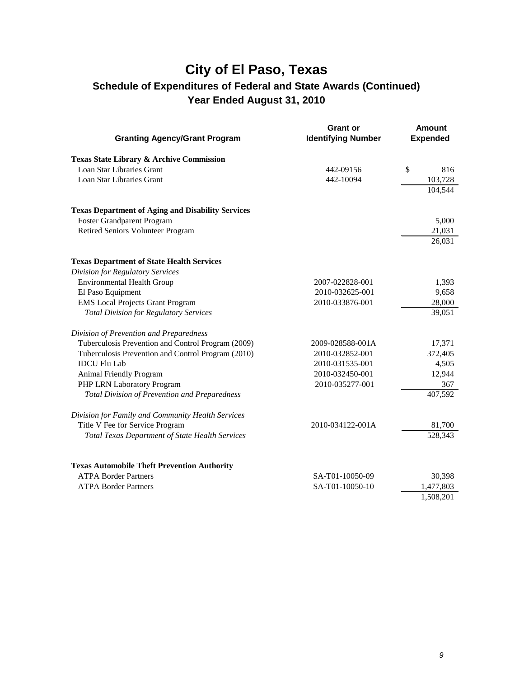| <b>Granting Agency/Grant Program</b>                       | <b>Grant or</b><br><b>Identifying Number</b> | Amount<br><b>Expended</b> |
|------------------------------------------------------------|----------------------------------------------|---------------------------|
|                                                            |                                              |                           |
| <b>Texas State Library &amp; Archive Commission</b>        |                                              |                           |
| Loan Star Libraries Grant                                  | 442-09156                                    | \$<br>816                 |
| Loan Star Libraries Grant                                  | 442-10094                                    | 103,728                   |
|                                                            |                                              | 104,544                   |
| <b>Texas Department of Aging and Disability Services</b>   |                                              |                           |
| Foster Grandparent Program                                 |                                              | 5,000                     |
| <b>Retired Seniors Volunteer Program</b>                   |                                              | 21,031                    |
|                                                            |                                              | 26,031                    |
| <b>Texas Department of State Health Services</b>           |                                              |                           |
| <b>Division for Regulatory Services</b>                    |                                              |                           |
| <b>Environmental Health Group</b>                          | 2007-022828-001                              | 1,393                     |
| El Paso Equipment                                          | 2010-032625-001                              | 9,658                     |
| <b>EMS</b> Local Projects Grant Program                    | 2010-033876-001                              | 28,000                    |
| <b>Total Division for Regulatory Services</b>              |                                              | 39,051                    |
| Division of Prevention and Preparedness                    |                                              |                           |
| Tuberculosis Prevention and Control Program (2009)         | 2009-028588-001A                             | 17,371                    |
| Tuberculosis Prevention and Control Program (2010)         | 2010-032852-001                              | 372,405                   |
| <b>IDCU</b> Flu Lab                                        | 2010-031535-001                              | 4,505                     |
| <b>Animal Friendly Program</b>                             | 2010-032450-001                              | 12,944                    |
| PHP LRN Laboratory Program                                 | 2010-035277-001                              | 367                       |
| <b>Total Division of Prevention and Preparedness</b>       |                                              | 407,592                   |
| Division for Family and Community Health Services          |                                              |                           |
| Title V Fee for Service Program                            | 2010-034122-001A                             | 81,700                    |
| <b>Total Texas Department of State Health Services</b>     |                                              | 528,343                   |
|                                                            |                                              |                           |
| <b>Texas Automobile Theft Prevention Authority</b>         |                                              |                           |
| <b>ATPA Border Partners</b><br><b>ATPA Border Partners</b> | SA-T01-10050-09<br>SA-T01-10050-10           | 30,398                    |
|                                                            |                                              | 1,477,803<br>1,508,201    |
|                                                            |                                              |                           |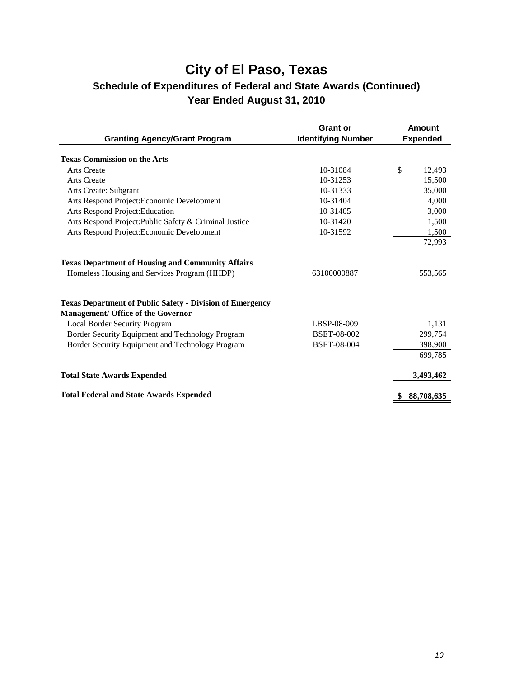| <b>Granting Agency/Grant Program</b>                             | <b>Grant or</b><br><b>Identifying Number</b> | <b>Amount</b><br><b>Expended</b> |
|------------------------------------------------------------------|----------------------------------------------|----------------------------------|
|                                                                  |                                              |                                  |
| <b>Texas Commission on the Arts</b>                              |                                              |                                  |
| <b>Arts Create</b>                                               | 10-31084                                     | \$<br>12,493                     |
| <b>Arts Create</b>                                               | 10-31253                                     | 15,500                           |
| Arts Create: Subgrant                                            | 10-31333                                     | 35,000                           |
| Arts Respond Project: Economic Development                       | 10-31404                                     | 4,000                            |
| Arts Respond Project: Education                                  | 10-31405                                     | 3,000                            |
| Arts Respond Project: Public Safety & Criminal Justice           | 10-31420                                     | 1,500                            |
| Arts Respond Project: Economic Development                       | 10-31592                                     | 1,500                            |
|                                                                  |                                              | 72,993                           |
| <b>Texas Department of Housing and Community Affairs</b>         |                                              |                                  |
| Homeless Housing and Services Program (HHDP)                     | 63100000887                                  | 553,565                          |
| <b>Texas Department of Public Safety - Division of Emergency</b> |                                              |                                  |
| <b>Management/ Office of the Governor</b>                        |                                              |                                  |
| Local Border Security Program                                    | LBSP-08-009                                  | 1,131                            |
| Border Security Equipment and Technology Program                 | <b>BSET-08-002</b>                           | 299.754                          |
| Border Security Equipment and Technology Program                 | <b>BSET-08-004</b>                           | 398,900                          |
|                                                                  |                                              | 699,785                          |
| <b>Total State Awards Expended</b>                               |                                              | 3,493,462                        |
| <b>Total Federal and State Awards Expended</b>                   |                                              | 88,708,635                       |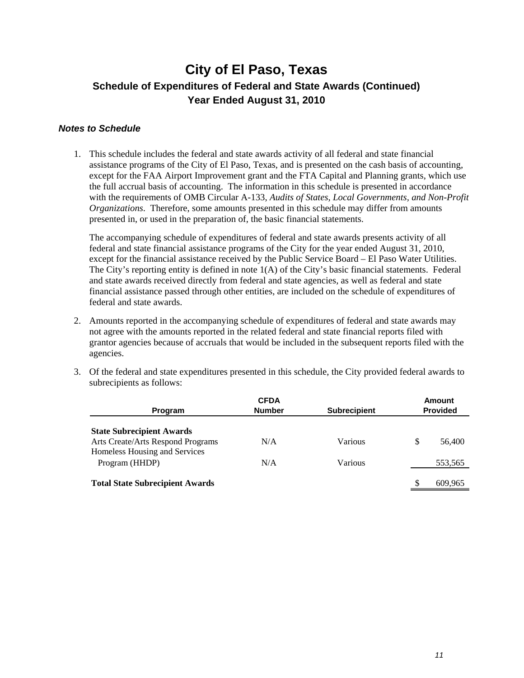#### *Notes to Schedule*

1. This schedule includes the federal and state awards activity of all federal and state financial assistance programs of the City of El Paso, Texas, and is presented on the cash basis of accounting, except for the FAA Airport Improvement grant and the FTA Capital and Planning grants, which use the full accrual basis of accounting. The information in this schedule is presented in accordance with the requirements of OMB Circular A-133, *Audits of States, Local Governments, and Non-Profit Organizations*. Therefore, some amounts presented in this schedule may differ from amounts presented in, or used in the preparation of, the basic financial statements.

The accompanying schedule of expenditures of federal and state awards presents activity of all federal and state financial assistance programs of the City for the year ended August 31, 2010, except for the financial assistance received by the Public Service Board – El Paso Water Utilities. The City's reporting entity is defined in note 1(A) of the City's basic financial statements. Federal and state awards received directly from federal and state agencies, as well as federal and state financial assistance passed through other entities, are included on the schedule of expenditures of federal and state awards.

- 2. Amounts reported in the accompanying schedule of expenditures of federal and state awards may not agree with the amounts reported in the related federal and state financial reports filed with grantor agencies because of accruals that would be included in the subsequent reports filed with the agencies.
- 3. Of the federal and state expenditures presented in this schedule, the City provided federal awards to subrecipients as follows:

|                                                                    | <b>CFDA</b>   |                     | <b>Amount</b>   |
|--------------------------------------------------------------------|---------------|---------------------|-----------------|
| Program                                                            | <b>Number</b> | <b>Subrecipient</b> | <b>Provided</b> |
| <b>State Subrecipient Awards</b>                                   |               |                     |                 |
| Arts Create/Arts Respond Programs<br>Homeless Housing and Services | N/A           | Various             | 56,400          |
| Program (HHDP)                                                     | N/A           | Various             | 553,565         |
| <b>Total State Subrecipient Awards</b>                             |               |                     | 609.965         |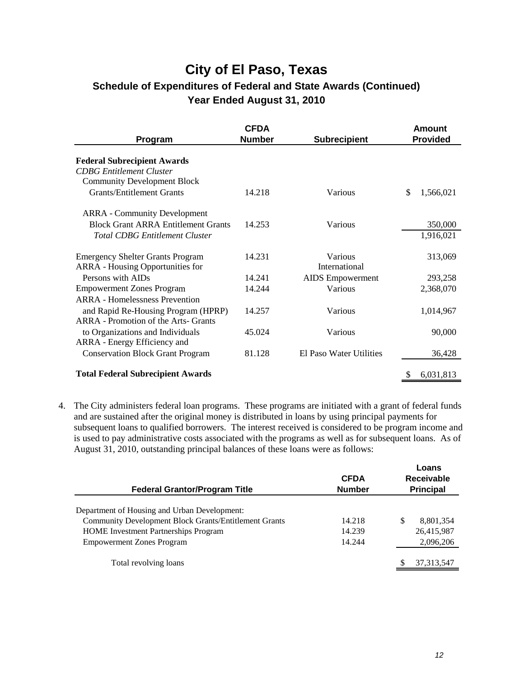| Program                                                                                                                     | <b>CFDA</b><br><b>Number</b> | <b>Subrecipient</b>      | Amount<br><b>Provided</b> |
|-----------------------------------------------------------------------------------------------------------------------------|------------------------------|--------------------------|---------------------------|
| <b>Federal Subrecipient Awards</b><br><b>CDBG</b> Entitlement Cluster<br><b>Community Development Block</b>                 |                              |                          |                           |
| <b>Grants/Entitlement Grants</b>                                                                                            | 14.218                       | Various                  | \$<br>1,566,021           |
| <b>ARRA</b> - Community Development<br><b>Block Grant ARRA Entitlement Grants</b><br><b>Total CDBG Entitlement Cluster</b>  | 14.253                       | Various                  | 350,000<br>1,916,021      |
| <b>Emergency Shelter Grants Program</b><br><b>ARRA</b> - Housing Opportunities for                                          | 14.231                       | Various<br>International | 313,069                   |
| Persons with AIDs                                                                                                           | 14.241                       | <b>AIDS</b> Empowerment  | 293,258                   |
| <b>Empowerment Zones Program</b>                                                                                            | 14.244                       | Various                  | 2,368,070                 |
| <b>ARRA</b> - Homelessness Prevention<br>and Rapid Re-Housing Program (HPRP)<br><b>ARRA</b> - Promotion of the Arts- Grants | 14.257                       | Various                  | 1,014,967                 |
| to Organizations and Individuals<br>ARRA - Energy Efficiency and                                                            | 45.024                       | Various                  | 90,000                    |
| <b>Conservation Block Grant Program</b>                                                                                     | 81.128                       | El Paso Water Utilities  | 36,428                    |
| <b>Total Federal Subrecipient Awards</b>                                                                                    |                              |                          | 6,031,813                 |

4. The City administers federal loan programs. These programs are initiated with a grant of federal funds and are sustained after the original money is distributed in loans by using principal payments for subsequent loans to qualified borrowers. The interest received is considered to be program income and is used to pay administrative costs associated with the programs as well as for subsequent loans. As of August 31, 2010, outstanding principal balances of these loans were as follows:

| <b>Federal Grantor/Program Title</b>                         | <b>CFDA</b><br><b>Number</b> | Loans<br><b>Receivable</b><br><b>Principal</b> |
|--------------------------------------------------------------|------------------------------|------------------------------------------------|
| Department of Housing and Urban Development:                 |                              |                                                |
|                                                              |                              |                                                |
| <b>Community Development Block Grants/Entitlement Grants</b> | 14.218                       | 8,801,354<br>-S                                |
| <b>HOME</b> Investment Partnerships Program                  | 14.239                       | 26,415,987                                     |
| <b>Empowerment Zones Program</b>                             | 14.244                       | 2,096,206                                      |
| Total revolving loans                                        |                              | 37, 313, 547                                   |
|                                                              |                              |                                                |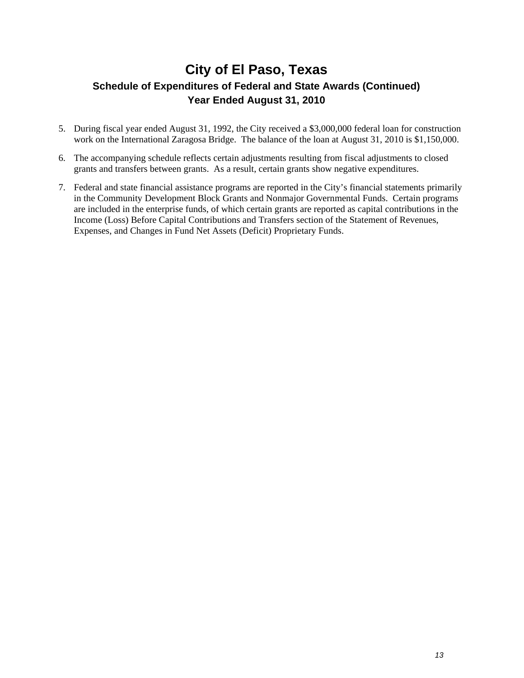- 5. During fiscal year ended August 31, 1992, the City received a \$3,000,000 federal loan for construction work on the International Zaragosa Bridge. The balance of the loan at August 31, 2010 is \$1,150,000.
- 6. The accompanying schedule reflects certain adjustments resulting from fiscal adjustments to closed grants and transfers between grants. As a result, certain grants show negative expenditures.
- 7. Federal and state financial assistance programs are reported in the City's financial statements primarily in the Community Development Block Grants and Nonmajor Governmental Funds. Certain programs are included in the enterprise funds, of which certain grants are reported as capital contributions in the Income (Loss) Before Capital Contributions and Transfers section of the Statement of Revenues, Expenses, and Changes in Fund Net Assets (Deficit) Proprietary Funds.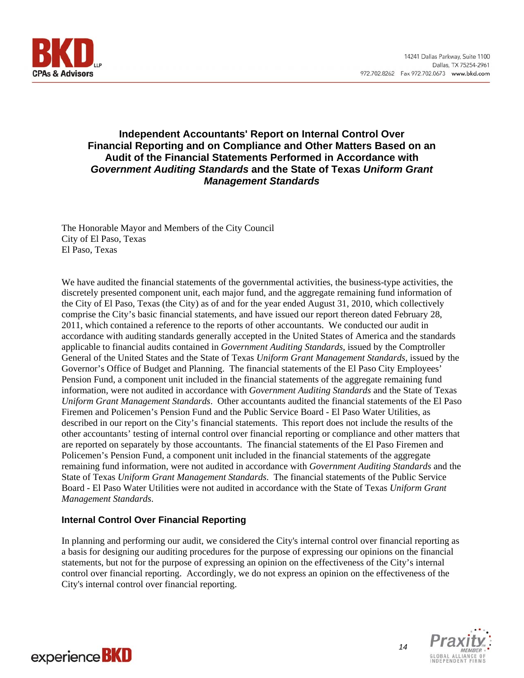

#### **Independent Accountants' Report on Internal Control Over Financial Reporting and on Compliance and Other Matters Based on an Audit of the Financial Statements Performed in Accordance with**  *Government Auditing Standards* **and the State of Texas** *Uniform Grant Management Standards*

The Honorable Mayor and Members of the City Council City of El Paso, Texas El Paso, Texas

We have audited the financial statements of the governmental activities, the business-type activities, the discretely presented component unit, each major fund, and the aggregate remaining fund information of the City of El Paso, Texas (the City) as of and for the year ended August 31, 2010, which collectively comprise the City's basic financial statements, and have issued our report thereon dated February 28, 2011, which contained a reference to the reports of other accountants. We conducted our audit in accordance with auditing standards generally accepted in the United States of America and the standards applicable to financial audits contained in *Government Auditing Standards*, issued by the Comptroller General of the United States and the State of Texas *Uniform Grant Management Standards*, issued by the Governor's Office of Budget and Planning. The financial statements of the El Paso City Employees' Pension Fund, a component unit included in the financial statements of the aggregate remaining fund information, were not audited in accordance with *Government Auditing Standards* and the State of Texas *Uniform Grant Management Standards*. Other accountants audited the financial statements of the El Paso Firemen and Policemen's Pension Fund and the Public Service Board - El Paso Water Utilities, as described in our report on the City's financial statements. This report does not include the results of the other accountants' testing of internal control over financial reporting or compliance and other matters that are reported on separately by those accountants. The financial statements of the El Paso Firemen and Policemen's Pension Fund, a component unit included in the financial statements of the aggregate remaining fund information, were not audited in accordance with *Government Auditing Standards* and the State of Texas *Uniform Grant Management Standards*. The financial statements of the Public Service Board - El Paso Water Utilities were not audited in accordance with the State of Texas *Uniform Grant Management Standards*.

#### **Internal Control Over Financial Reporting**

In planning and performing our audit, we considered the City's internal control over financial reporting as a basis for designing our auditing procedures for the purpose of expressing our opinions on the financial statements, but not for the purpose of expressing an opinion on the effectiveness of the City's internal control over financial reporting. Accordingly, we do not express an opinion on the effectiveness of the City's internal control over financial reporting.



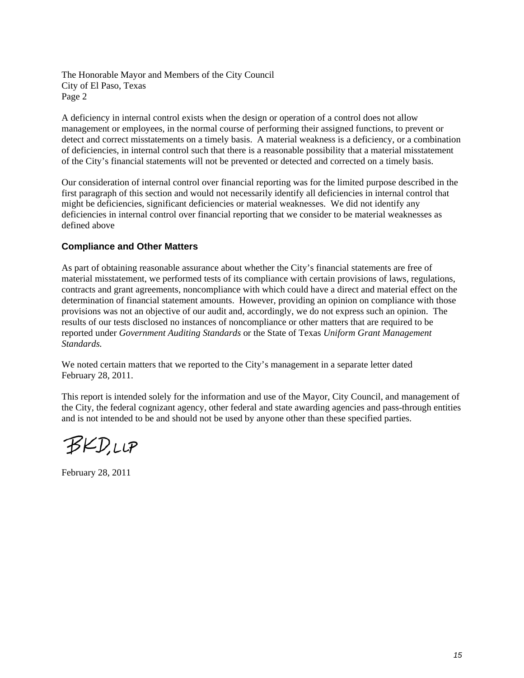The Honorable Mayor and Members of the City Council City of El Paso, Texas Page 2

A deficiency in internal control exists when the design or operation of a control does not allow management or employees, in the normal course of performing their assigned functions, to prevent or detect and correct misstatements on a timely basis. A material weakness is a deficiency, or a combination of deficiencies, in internal control such that there is a reasonable possibility that a material misstatement of the City's financial statements will not be prevented or detected and corrected on a timely basis.

Our consideration of internal control over financial reporting was for the limited purpose described in the first paragraph of this section and would not necessarily identify all deficiencies in internal control that might be deficiencies, significant deficiencies or material weaknesses. We did not identify any deficiencies in internal control over financial reporting that we consider to be material weaknesses as defined above

#### **Compliance and Other Matters**

As part of obtaining reasonable assurance about whether the City's financial statements are free of material misstatement, we performed tests of its compliance with certain provisions of laws, regulations, contracts and grant agreements, noncompliance with which could have a direct and material effect on the determination of financial statement amounts. However, providing an opinion on compliance with those provisions was not an objective of our audit and, accordingly, we do not express such an opinion. The results of our tests disclosed no instances of noncompliance or other matters that are required to be reported under *Government Auditing Standards* or the State of Texas *Uniform Grant Management Standards.*

We noted certain matters that we reported to the City's management in a separate letter dated February 28, 2011.

This report is intended solely for the information and use of the Mayor, City Council, and management of the City, the federal cognizant agency, other federal and state awarding agencies and pass-through entities and is not intended to be and should not be used by anyone other than these specified parties.

**BKD,LLP** 

February 28, 2011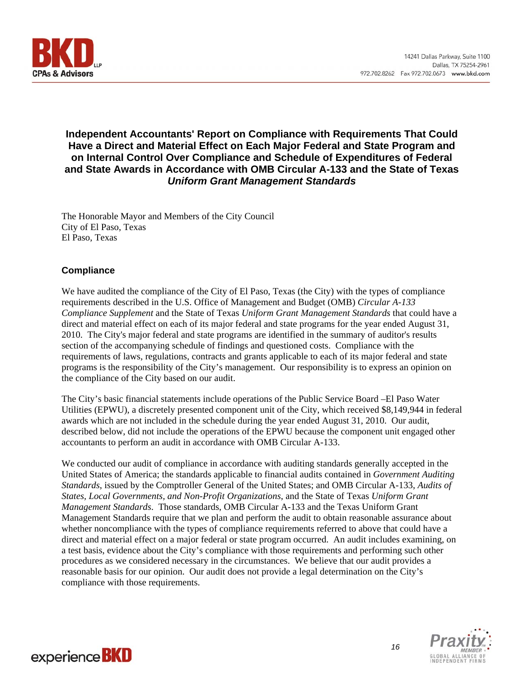

#### **Independent Accountants' Report on Compliance with Requirements That Could Have a Direct and Material Effect on Each Major Federal and State Program and on Internal Control Over Compliance and Schedule of Expenditures of Federal and State Awards in Accordance with OMB Circular A-133 and the State of Texas**  *Uniform Grant Management Standards*

The Honorable Mayor and Members of the City Council City of El Paso, Texas El Paso, Texas

#### **Compliance**

We have audited the compliance of the City of El Paso, Texas (the City) with the types of compliance requirements described in the U.S. Office of Management and Budget (OMB) *Circular A-133 Compliance Supplement* and the State of Texas *Uniform Grant Management Standards* that could have a direct and material effect on each of its major federal and state programs for the year ended August 31, 2010. The City's major federal and state programs are identified in the summary of auditor's results section of the accompanying schedule of findings and questioned costs. Compliance with the requirements of laws, regulations, contracts and grants applicable to each of its major federal and state programs is the responsibility of the City's management. Our responsibility is to express an opinion on the compliance of the City based on our audit.

The City's basic financial statements include operations of the Public Service Board –El Paso Water Utilities (EPWU), a discretely presented component unit of the City, which received \$8,149,944 in federal awards which are not included in the schedule during the year ended August 31, 2010. Our audit, described below, did not include the operations of the EPWU because the component unit engaged other accountants to perform an audit in accordance with OMB Circular A-133.

We conducted our audit of compliance in accordance with auditing standards generally accepted in the United States of America; the standards applicable to financial audits contained in *Government Auditing Standards*, issued by the Comptroller General of the United States; and OMB Circular A-133, *Audits of States, Local Governments, and Non-Profit Organizations*, and the State of Texas *Uniform Grant Management Standards*. Those standards, OMB Circular A-133 and the Texas Uniform Grant Management Standards require that we plan and perform the audit to obtain reasonable assurance about whether noncompliance with the types of compliance requirements referred to above that could have a direct and material effect on a major federal or state program occurred. An audit includes examining, on a test basis, evidence about the City's compliance with those requirements and performing such other procedures as we considered necessary in the circumstances. We believe that our audit provides a reasonable basis for our opinion. Our audit does not provide a legal determination on the City's compliance with those requirements.



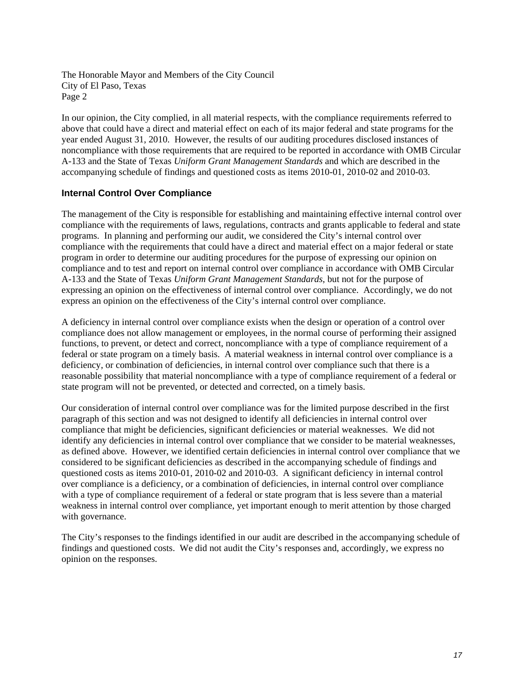The Honorable Mayor and Members of the City Council City of El Paso, Texas Page 2

In our opinion, the City complied, in all material respects, with the compliance requirements referred to above that could have a direct and material effect on each of its major federal and state programs for the year ended August 31, 2010. However, the results of our auditing procedures disclosed instances of noncompliance with those requirements that are required to be reported in accordance with OMB Circular A-133 and the State of Texas *Uniform Grant Management Standards* and which are described in the accompanying schedule of findings and questioned costs as items 2010-01, 2010-02 and 2010-03.

#### **Internal Control Over Compliance**

The management of the City is responsible for establishing and maintaining effective internal control over compliance with the requirements of laws, regulations, contracts and grants applicable to federal and state programs. In planning and performing our audit, we considered the City's internal control over compliance with the requirements that could have a direct and material effect on a major federal or state program in order to determine our auditing procedures for the purpose of expressing our opinion on compliance and to test and report on internal control over compliance in accordance with OMB Circular A-133 and the State of Texas *Uniform Grant Management Standards*, but not for the purpose of expressing an opinion on the effectiveness of internal control over compliance. Accordingly, we do not express an opinion on the effectiveness of the City's internal control over compliance.

A deficiency in internal control over compliance exists when the design or operation of a control over compliance does not allow management or employees, in the normal course of performing their assigned functions, to prevent, or detect and correct, noncompliance with a type of compliance requirement of a federal or state program on a timely basis. A material weakness in internal control over compliance is a deficiency, or combination of deficiencies, in internal control over compliance such that there is a reasonable possibility that material noncompliance with a type of compliance requirement of a federal or state program will not be prevented, or detected and corrected, on a timely basis.

Our consideration of internal control over compliance was for the limited purpose described in the first paragraph of this section and was not designed to identify all deficiencies in internal control over compliance that might be deficiencies, significant deficiencies or material weaknesses. We did not identify any deficiencies in internal control over compliance that we consider to be material weaknesses, as defined above. However, we identified certain deficiencies in internal control over compliance that we considered to be significant deficiencies as described in the accompanying schedule of findings and questioned costs as items 2010-01, 2010-02 and 2010-03. A significant deficiency in internal control over compliance is a deficiency, or a combination of deficiencies, in internal control over compliance with a type of compliance requirement of a federal or state program that is less severe than a material weakness in internal control over compliance, yet important enough to merit attention by those charged with governance.

The City's responses to the findings identified in our audit are described in the accompanying schedule of findings and questioned costs. We did not audit the City's responses and, accordingly, we express no opinion on the responses.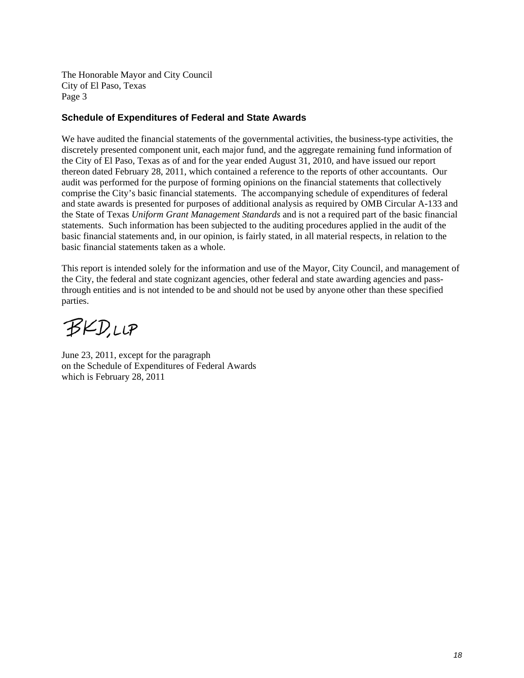The Honorable Mayor and City Council City of El Paso, Texas Page 3

#### **Schedule of Expenditures of Federal and State Awards**

We have audited the financial statements of the governmental activities, the business-type activities, the discretely presented component unit, each major fund, and the aggregate remaining fund information of the City of El Paso, Texas as of and for the year ended August 31, 2010, and have issued our report thereon dated February 28, 2011, which contained a reference to the reports of other accountants. Our audit was performed for the purpose of forming opinions on the financial statements that collectively comprise the City's basic financial statements. The accompanying schedule of expenditures of federal and state awards is presented for purposes of additional analysis as required by OMB Circular A-133 and the State of Texas *Uniform Grant Management Standards* and is not a required part of the basic financial statements. Such information has been subjected to the auditing procedures applied in the audit of the basic financial statements and, in our opinion, is fairly stated, in all material respects, in relation to the basic financial statements taken as a whole.

This report is intended solely for the information and use of the Mayor, City Council, and management of the City, the federal and state cognizant agencies, other federal and state awarding agencies and passthrough entities and is not intended to be and should not be used by anyone other than these specified parties.

BKD.LLP

June 23, 2011, except for the paragraph on the Schedule of Expenditures of Federal Awards which is February 28, 2011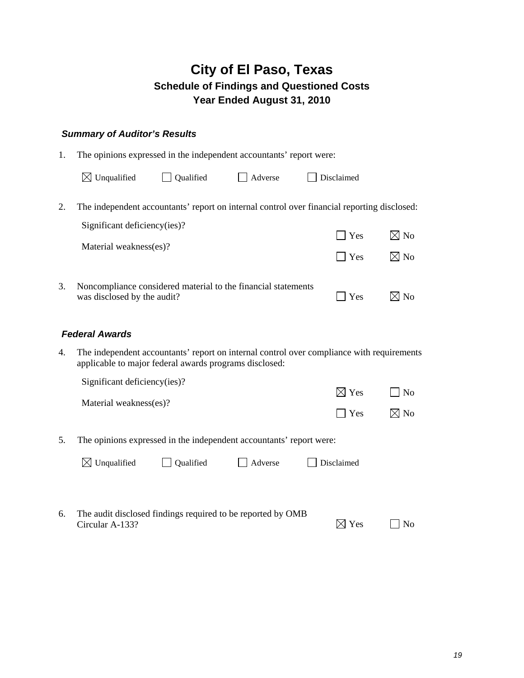#### *Summary of Auditor's Results*

| 1. | The opinions expressed in the independent accountants' report were:                                                         |           |         |            |                |
|----|-----------------------------------------------------------------------------------------------------------------------------|-----------|---------|------------|----------------|
|    | $\boxtimes$ Unqualified                                                                                                     | Qualified | Adverse | Disclaimed |                |
| 2. | The independent accountants' report on internal control over financial reporting disclosed:<br>Significant deficiency(ies)? |           |         | $\Box$ Yes | $\boxtimes$ No |
|    | Material weakness(es)?                                                                                                      |           |         | l Yes      | $\boxtimes$ No |
| 3. | Noncompliance considered material to the financial statements<br>was disclosed by the audit?                                |           |         | Yes        |                |

#### *Federal Awards*

4. The independent accountants' report on internal control over compliance with requirements applicable to major federal awards programs disclosed:

|            | $\Box$ No       |
|------------|-----------------|
|            |                 |
| $\Box$ Yes | $\boxtimes$ No  |
|            | $\boxtimes$ Yes |

5. The opinions expressed in the independent accountants' report were:

| $\boxtimes$ Unqualified | $\Box$ Qualified | Adverse | $\Box$ Disclaimed |
|-------------------------|------------------|---------|-------------------|
|-------------------------|------------------|---------|-------------------|

6. The audit disclosed findings required to be reported by OMB Circular A-133?  $\boxtimes$  Yes  $\Box$  No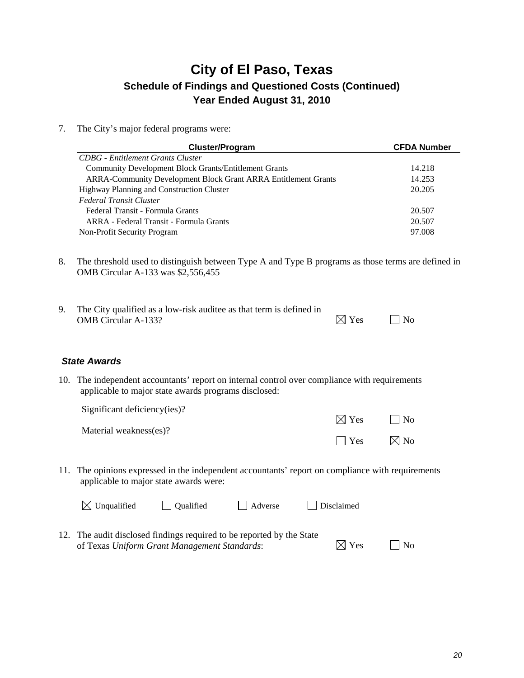7. The City's major federal programs were:

| <b>Cluster/Program</b>                                                | <b>CFDA Number</b> |
|-----------------------------------------------------------------------|--------------------|
| <b>CDBG</b> - Entitlement Grants Cluster                              |                    |
| <b>Community Development Block Grants/Entitlement Grants</b>          | 14.218             |
| <b>ARRA-Community Development Block Grant ARRA Entitlement Grants</b> | 14.253             |
| Highway Planning and Construction Cluster                             | 20.205             |
| Federal Transit Cluster                                               |                    |
| Federal Transit - Formula Grants                                      | 20.507             |
| ARRA - Federal Transit - Formula Grants                               | 20.507             |
| Non-Profit Security Program                                           | 97.008             |

8. The threshold used to distinguish between Type A and Type B programs as those terms are defined in OMB Circular A-133 was \$2,556,455

| The City qualified as a low-risk auditee as that term is defined in |                 |           |
|---------------------------------------------------------------------|-----------------|-----------|
| <b>OMB</b> Circular A-133?                                          | $\boxtimes$ Yes | $\Box$ No |

#### *State Awards*

10. The independent accountants' report on internal control over compliance with requirements applicable to major state awards programs disclosed:

Significant deficiency(ies)?

Material weakness(es)?

11. The opinions expressed in the independent accountants' report on compliance with requirements applicable to major state awards were:

| $\boxtimes$ Unqualified | Oualified                                                           | Adverse | Disclaimed |
|-------------------------|---------------------------------------------------------------------|---------|------------|
|                         | . The audit disclosed findings required to be reported by the State |         |            |

12. The audit disclosed findings required to be reported by the State of Texas *Uniform Grant Management Standards*:  $\boxtimes$  Yes  $\Box$  No

 $\boxtimes$  Yes  $\Box$  No

 $\Box$  Yes  $\boxtimes$  No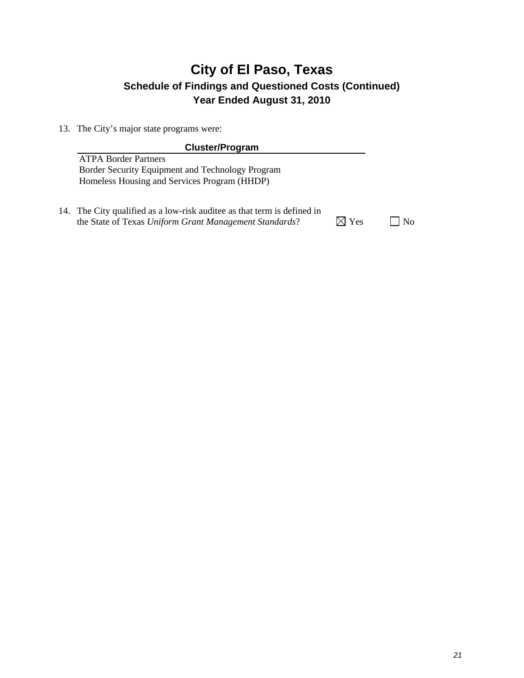13. The City's major state programs were:

| <b>Cluster/Program</b>                                                          |                |    |
|---------------------------------------------------------------------------------|----------------|----|
| <b>ATPA Border Partners</b><br>Border Security Equipment and Technology Program |                |    |
| Homeless Housing and Services Program (HHDP)                                    |                |    |
| 14. The City qualified as a low-risk auditee as that term is defined in         |                |    |
| the State of Texas Uniform Grant Management Standards?                          | $\times$ l Yes | N٥ |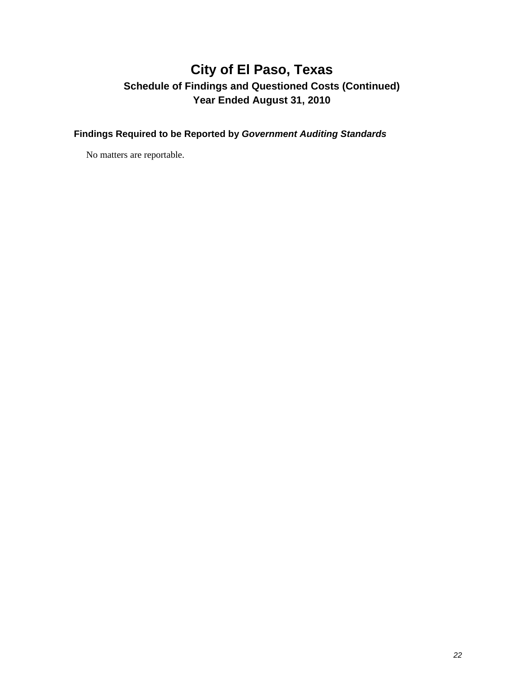**Findings Required to be Reported by** *Government Auditing Standards* 

No matters are reportable.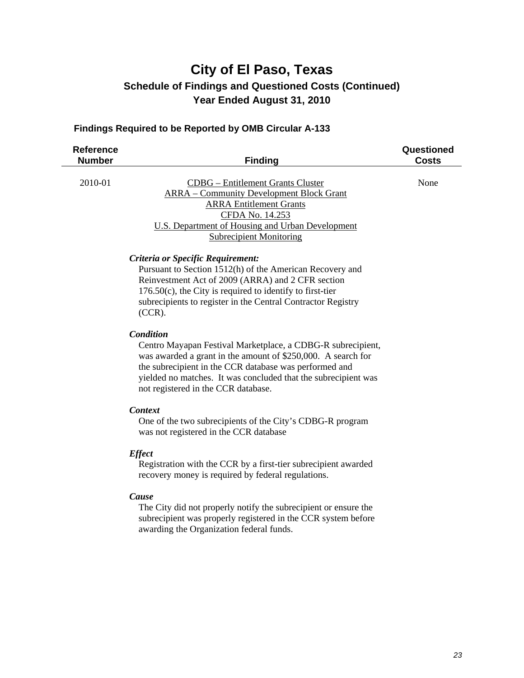#### **Findings Required to be Reported by OMB Circular A-133**

| <b>Reference</b><br><b>Number</b> | <b>Finding</b>                                                                                                                                                                                                                                                                                              | Questioned<br><b>Costs</b> |
|-----------------------------------|-------------------------------------------------------------------------------------------------------------------------------------------------------------------------------------------------------------------------------------------------------------------------------------------------------------|----------------------------|
| 2010-01                           | <b>CDBG</b> – Entitlement Grants Cluster<br><b>ARRA</b> – Community Development Block Grant<br><b>ARRA Entitlement Grants</b><br>CFDA No. 14.253<br><b>U.S. Department of Housing and Urban Development</b><br><b>Subrecipient Monitoring</b>                                                               | None                       |
|                                   | Criteria or Specific Requirement:<br>Pursuant to Section 1512(h) of the American Recovery and<br>Reinvestment Act of 2009 (ARRA) and 2 CFR section<br>$176.50(c)$ , the City is required to identify to first-tier<br>subrecipients to register in the Central Contractor Registry<br>$(CCR)$ .             |                            |
|                                   | Condition<br>Centro Mayapan Festival Marketplace, a CDBG-R subrecipient,<br>was awarded a grant in the amount of \$250,000. A search for<br>the subrecipient in the CCR database was performed and<br>yielded no matches. It was concluded that the subrecipient was<br>not registered in the CCR database. |                            |
|                                   | <b>Context</b><br>One of the two subrecipients of the City's CDBG-R program<br>was not registered in the CCR database                                                                                                                                                                                       |                            |
|                                   | <b>Effect</b><br>Registration with the CCR by a first-tier subrecipient awarded<br>recovery money is required by federal regulations.                                                                                                                                                                       |                            |
|                                   | Cause<br>The City did not properly notify the subrecipient or ensure the<br>subrecipient was properly registered in the CCR system before<br>awarding the Organization federal funds.                                                                                                                       |                            |
|                                   |                                                                                                                                                                                                                                                                                                             |                            |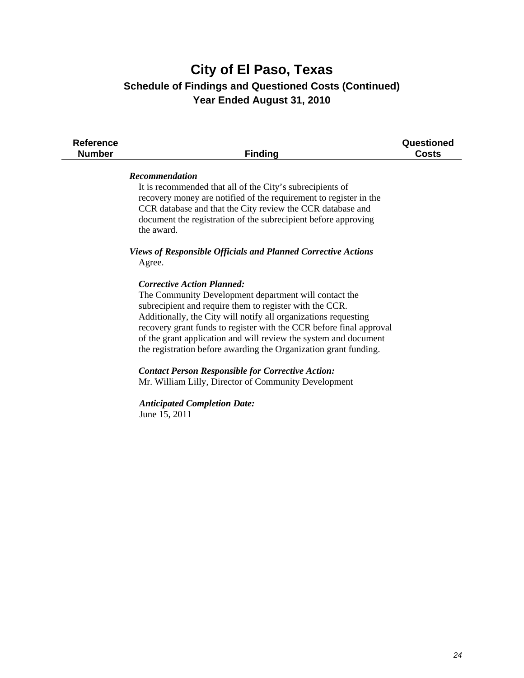| <b>Finding</b>                                                                                                                                                                                                                                                                                                                                                                                                                                                                                                                                              | Questioned<br><b>Costs</b>          |
|-------------------------------------------------------------------------------------------------------------------------------------------------------------------------------------------------------------------------------------------------------------------------------------------------------------------------------------------------------------------------------------------------------------------------------------------------------------------------------------------------------------------------------------------------------------|-------------------------------------|
| Recommendation<br>It is recommended that all of the City's subrecipients of<br>recovery money are notified of the requirement to register in the<br>CCR database and that the City review the CCR database and<br>document the registration of the subrecipient before approving<br>the award.                                                                                                                                                                                                                                                              |                                     |
| <b>Views of Responsible Officials and Planned Corrective Actions</b><br>Agree.                                                                                                                                                                                                                                                                                                                                                                                                                                                                              |                                     |
| <b>Corrective Action Planned:</b><br>The Community Development department will contact the<br>subrecipient and require them to register with the CCR.<br>Additionally, the City will notify all organizations requesting<br>recovery grant funds to register with the CCR before final approval<br>of the grant application and will review the system and document<br>the registration before awarding the Organization grant funding.<br><b>Contact Person Responsible for Corrective Action:</b><br>Mr. William Lilly, Director of Community Development |                                     |
| June 15, 2011                                                                                                                                                                                                                                                                                                                                                                                                                                                                                                                                               |                                     |
|                                                                                                                                                                                                                                                                                                                                                                                                                                                                                                                                                             | <b>Anticipated Completion Date:</b> |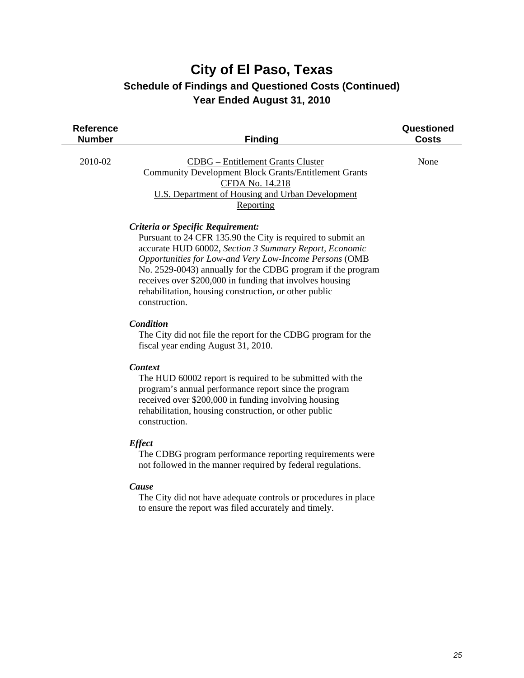| <b>Reference</b><br><b>Number</b> | <b>Finding</b>                                                                                                                                                                                                                                                                                                                                                                                                            | Questioned<br><b>Costs</b> |
|-----------------------------------|---------------------------------------------------------------------------------------------------------------------------------------------------------------------------------------------------------------------------------------------------------------------------------------------------------------------------------------------------------------------------------------------------------------------------|----------------------------|
| 2010-02                           | <b>CDBG</b> – Entitlement Grants Cluster<br><b>Community Development Block Grants/Entitlement Grants</b><br>CFDA No. 14.218<br>U.S. Department of Housing and Urban Development<br>Reporting                                                                                                                                                                                                                              | None                       |
|                                   | Criteria or Specific Requirement:<br>Pursuant to 24 CFR 135.90 the City is required to submit an<br>accurate HUD 60002, Section 3 Summary Report, Economic<br>Opportunities for Low-and Very Low-Income Persons (OMB<br>No. 2529-0043) annually for the CDBG program if the program<br>receives over \$200,000 in funding that involves housing<br>rehabilitation, housing construction, or other public<br>construction. |                            |
|                                   | Condition<br>The City did not file the report for the CDBG program for the<br>fiscal year ending August 31, 2010.                                                                                                                                                                                                                                                                                                         |                            |
|                                   | <b>Context</b><br>The HUD 60002 report is required to be submitted with the<br>program's annual performance report since the program<br>received over \$200,000 in funding involving housing<br>rehabilitation, housing construction, or other public<br>construction.                                                                                                                                                    |                            |
|                                   | <b>Effect</b><br>The CDBG program performance reporting requirements were<br>not followed in the manner required by federal regulations.                                                                                                                                                                                                                                                                                  |                            |

#### *Cause*

 $\overline{\phantom{a}}$ 

 The City did not have adequate controls or procedures in place to ensure the report was filed accurately and timely.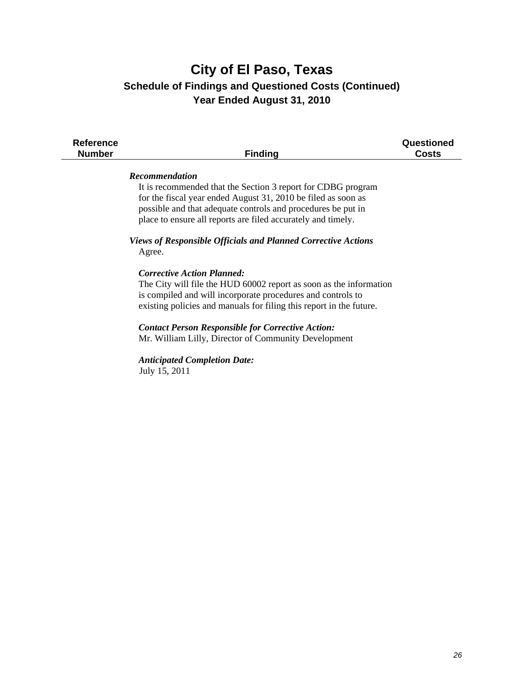| <b>Reference</b><br><b>Number</b> | <b>Finding</b>                                                                                                                                                                                                                                                                         | Questioned<br><b>Costs</b> |
|-----------------------------------|----------------------------------------------------------------------------------------------------------------------------------------------------------------------------------------------------------------------------------------------------------------------------------------|----------------------------|
|                                   | <b>Recommendation</b><br>It is recommended that the Section 3 report for CDBG program<br>for the fiscal year ended August 31, 2010 be filed as soon as<br>possible and that adequate controls and procedures be put in<br>place to ensure all reports are filed accurately and timely. |                            |
|                                   | Views of Responsible Officials and Planned Corrective Actions<br>Agree.                                                                                                                                                                                                                |                            |
|                                   | <b>Corrective Action Planned:</b><br>The City will file the HUD 60002 report as soon as the information<br>is compiled and will incorporate procedures and controls to<br>existing policies and manuals for filing this report in the future.                                          |                            |
|                                   | <b>Contact Person Responsible for Corrective Action:</b><br>Mr. William Lilly, Director of Community Development                                                                                                                                                                       |                            |
|                                   | <b>Anticipated Completion Date:</b><br>July 15, 2011                                                                                                                                                                                                                                   |                            |
|                                   |                                                                                                                                                                                                                                                                                        |                            |
|                                   |                                                                                                                                                                                                                                                                                        |                            |
|                                   |                                                                                                                                                                                                                                                                                        |                            |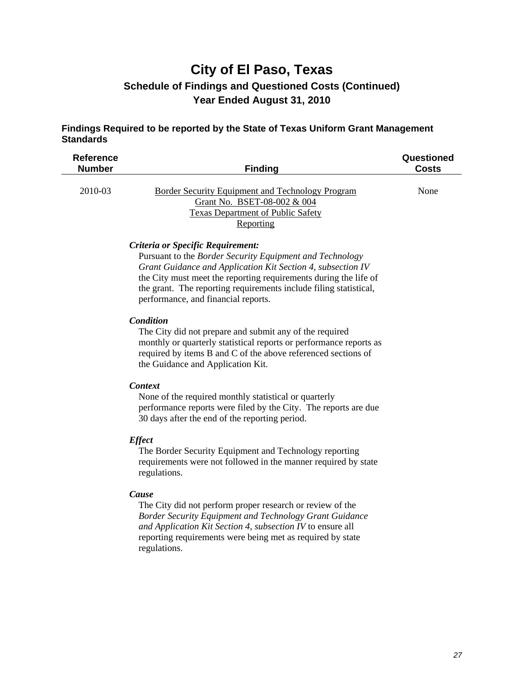#### **Findings Required to be reported by the State of Texas Uniform Grant Management Standards**

| <b>Reference</b> |                                                                                                                                   | Questioned   |
|------------------|-----------------------------------------------------------------------------------------------------------------------------------|--------------|
| <b>Number</b>    | <b>Finding</b>                                                                                                                    | <b>Costs</b> |
| 2010-03          | Border Security Equipment and Technology Program<br>Grant No. BSET-08-002 & 004<br>Texas Department of Public Safety<br>Reporting | None         |

#### *Criteria or Specific Requirement:*

 Pursuant to the *Border Security Equipment and Technology Grant Guidance and Application Kit Section 4, subsection IV* the City must meet the reporting requirements during the life of the grant. The reporting requirements include filing statistical, performance, and financial reports.

#### *Condition*

 The City did not prepare and submit any of the required monthly or quarterly statistical reports or performance reports as required by items B and C of the above referenced sections of the Guidance and Application Kit.

#### *Context*

 None of the required monthly statistical or quarterly performance reports were filed by the City. The reports are due 30 days after the end of the reporting period.

#### *Effect*

 The Border Security Equipment and Technology reporting requirements were not followed in the manner required by state regulations.

#### *Cause*

 The City did not perform proper research or review of the *Border Security Equipment and Technology Grant Guidance and Application Kit Section 4, subsection IV* to ensure all reporting requirements were being met as required by state regulations.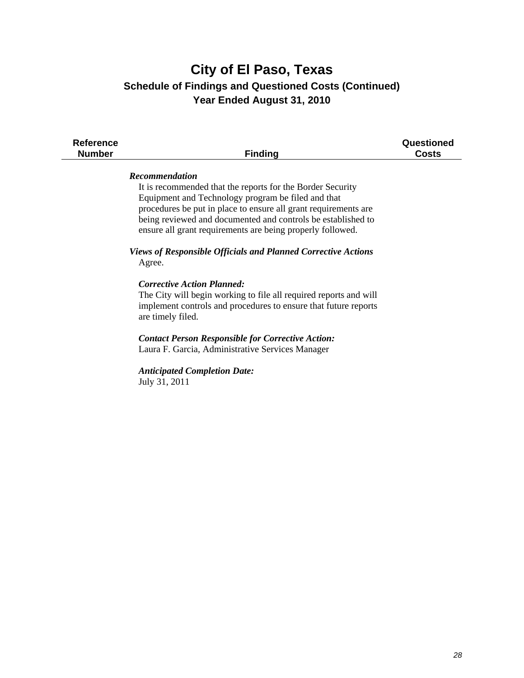| <b>Reference</b><br><b>Number</b> | <b>Finding</b>                                                                                                                                                                                                                                                                                                                                                                                                                                                                                                                                                                                                                                                                                                                                                                 | Questioned<br><b>Costs</b> |
|-----------------------------------|--------------------------------------------------------------------------------------------------------------------------------------------------------------------------------------------------------------------------------------------------------------------------------------------------------------------------------------------------------------------------------------------------------------------------------------------------------------------------------------------------------------------------------------------------------------------------------------------------------------------------------------------------------------------------------------------------------------------------------------------------------------------------------|----------------------------|
|                                   | Recommendation<br>It is recommended that the reports for the Border Security<br>Equipment and Technology program be filed and that<br>procedures be put in place to ensure all grant requirements are<br>being reviewed and documented and controls be established to<br>ensure all grant requirements are being properly followed.<br><b>Views of Responsible Officials and Planned Corrective Actions</b><br>Agree.<br><b>Corrective Action Planned:</b><br>The City will begin working to file all required reports and will<br>implement controls and procedures to ensure that future reports<br>are timely filed.<br><b>Contact Person Responsible for Corrective Action:</b><br>Laura F. Garcia, Administrative Services Manager<br><b>Anticipated Completion Date:</b> |                            |
|                                   | July 31, 2011                                                                                                                                                                                                                                                                                                                                                                                                                                                                                                                                                                                                                                                                                                                                                                  |                            |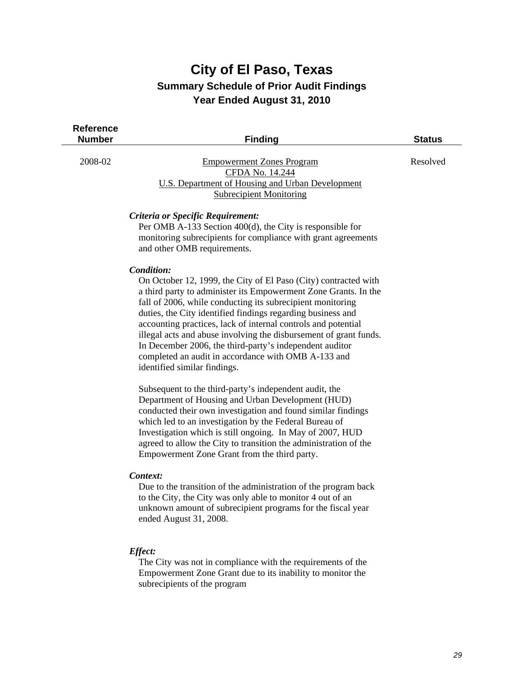### **City of El Paso, Texas Summary Schedule of Prior Audit Findings Year Ended August 31, 2010**

 $\mathbb{R}^2$ 

| <b>Reference</b><br><b>Number</b> | <b>Finding</b>                                                                                                                                                                                                                                                                                                                                                                                                                                                                                                                                                        | <b>Status</b> |
|-----------------------------------|-----------------------------------------------------------------------------------------------------------------------------------------------------------------------------------------------------------------------------------------------------------------------------------------------------------------------------------------------------------------------------------------------------------------------------------------------------------------------------------------------------------------------------------------------------------------------|---------------|
| 2008-02                           | <b>Empowerment Zones Program</b><br>CFDA No. 14.244<br><b>U.S. Department of Housing and Urban Development</b><br><b>Subrecipient Monitoring</b>                                                                                                                                                                                                                                                                                                                                                                                                                      | Resolved      |
|                                   | Criteria or Specific Requirement:<br>Per OMB A-133 Section 400(d), the City is responsible for<br>monitoring subrecipients for compliance with grant agreements<br>and other OMB requirements.                                                                                                                                                                                                                                                                                                                                                                        |               |
|                                   | Condition:<br>On October 12, 1999, the City of El Paso (City) contracted with<br>a third party to administer its Empowerment Zone Grants. In the<br>fall of 2006, while conducting its subrecipient monitoring<br>duties, the City identified findings regarding business and<br>accounting practices, lack of internal controls and potential<br>illegal acts and abuse involving the disbursement of grant funds.<br>In December 2006, the third-party's independent auditor<br>completed an audit in accordance with OMB A-133 and<br>identified similar findings. |               |
|                                   | Subsequent to the third-party's independent audit, the<br>Department of Housing and Urban Development (HUD)<br>conducted their own investigation and found similar findings<br>which led to an investigation by the Federal Bureau of<br>Investigation which is still ongoing. In May of 2007, HUD<br>agreed to allow the City to transition the administration of the<br>Empowerment Zone Grant from the third party.                                                                                                                                                |               |
|                                   | Context:<br>Due to the transition of the administration of the program back<br>to the City, the City was only able to monitor 4 out of an<br>unknown amount of subrecipient programs for the fiscal year<br>ended August 31, 2008.                                                                                                                                                                                                                                                                                                                                    |               |
|                                   | Effect:<br>The City was not in compliance with the requirements of the<br>Empowerment Zone Grant due to its inability to monitor the                                                                                                                                                                                                                                                                                                                                                                                                                                  |               |

subrecipients of the program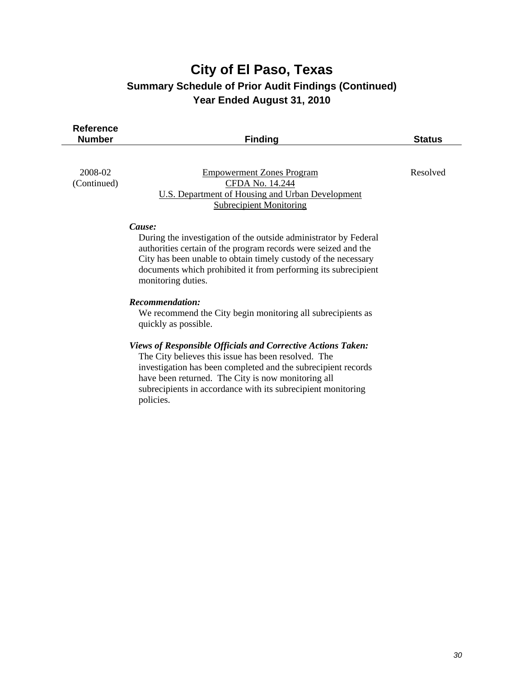### **City of El Paso, Texas Summary Schedule of Prior Audit Findings (Continued) Year Ended August 31, 2010**

| <b>Reference</b><br><b>Number</b> | <b>Finding</b>                                                                                                                                                                                                                                                                                         | <b>Status</b> |
|-----------------------------------|--------------------------------------------------------------------------------------------------------------------------------------------------------------------------------------------------------------------------------------------------------------------------------------------------------|---------------|
| 2008-02<br>(Continued)            | <b>Empowerment Zones Program</b><br>CFDA No. 14.244<br><b>U.S. Department of Housing and Urban Development</b><br><b>Subrecipient Monitoring</b>                                                                                                                                                       | Resolved      |
|                                   | Cause:<br>During the investigation of the outside administrator by Federal<br>authorities certain of the program records were seized and the<br>City has been unable to obtain timely custody of the necessary<br>documents which prohibited it from performing its subrecipient<br>monitoring duties. |               |
|                                   | <b>Recommendation:</b><br>We recommend the City begin monitoring all subrecipients as<br>quickly as possible.                                                                                                                                                                                          |               |
|                                   | Views of Responsible Officials and Corrective Actions Taken:<br>The City believes this issue has been resolved. The                                                                                                                                                                                    |               |

 The City believes this issue has been resolved. The investigation has been completed and the subrecipient records have been returned. The City is now monitoring all subrecipients in accordance with its subrecipient monitoring policies.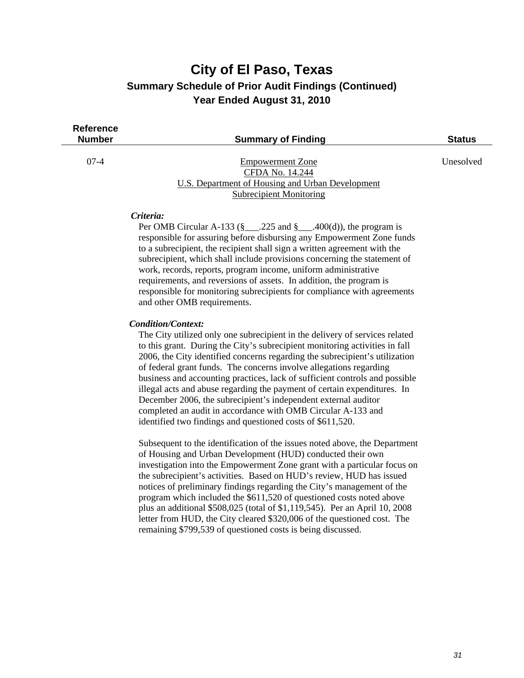#### **City of El Paso, Texas Summary Schedule of Prior Audit Findings (Continued) Year Ended August 31, 2010**

| Reference |
|-----------|
| Number    |

**Summary of Finding Status Status** Status

#### 07-4 Empowerment Zone Unesolved CFDA No. 14.244 U.S. Department of Housing and Urban Development Subrecipient Monitoring

#### *Criteria:*

Per OMB Circular A-133 ( $\frac{8}{3}$  .225 and  $\frac{8}{3}$  .400(d)), the program is responsible for assuring before disbursing any Empowerment Zone funds to a subrecipient, the recipient shall sign a written agreement with the subrecipient, which shall include provisions concerning the statement of work, records, reports, program income, uniform administrative requirements, and reversions of assets. In addition, the program is responsible for monitoring subrecipients for compliance with agreements and other OMB requirements.

#### *Condition/Context:*

 The City utilized only one subrecipient in the delivery of services related to this grant. During the City's subrecipient monitoring activities in fall 2006, the City identified concerns regarding the subrecipient's utilization of federal grant funds. The concerns involve allegations regarding business and accounting practices, lack of sufficient controls and possible illegal acts and abuse regarding the payment of certain expenditures. In December 2006, the subrecipient's independent external auditor completed an audit in accordance with OMB Circular A-133 and identified two findings and questioned costs of \$611,520.

Subsequent to the identification of the issues noted above, the Department of Housing and Urban Development (HUD) conducted their own investigation into the Empowerment Zone grant with a particular focus on the subrecipient's activities. Based on HUD's review, HUD has issued notices of preliminary findings regarding the City's management of the program which included the \$611,520 of questioned costs noted above plus an additional \$508,025 (total of \$1,119,545). Per an April 10, 2008 letter from HUD, the City cleared \$320,006 of the questioned cost. The remaining \$799,539 of questioned costs is being discussed.